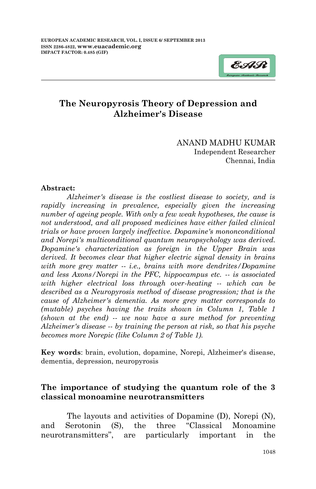

# **The Neuropyrosis Theory of Depression and Alzheimer's Disease**

### ANAND MADHU KUMAR Independent Researcher Chennai, India

#### **Abstract:**

*Alzheimer's disease is the costliest disease to society, and is rapidly increasing in prevalence, especially given the increasing number of ageing people. With only a few weak hypotheses, the cause is not understood, and all proposed medicines have either failed clinical trials or have proven largely ineffective. Dopamine's mononconditional and Norepi's multiconditional quantum neuropsychology was derived. Dopamine's characterization as foreign in the Upper Brain was derived. It becomes clear that higher electric signal density in brains with more grey matter -- i.e., brains with more dendrites/Dopamine and less Axons/Norepi in the PFC, hippocampus etc. -- is associated with higher electrical loss through over-heating -- which can be described as a Neuropyrosis method of disease progression; that is the cause of Alzheimer's dementia. As more grey matter corresponds to (mutable) psyches having the traits shown in Column 1, Table 1 (shown at the end) -- we now have a sure method for preventing Alzheimer's disease -- by training the person at risk, so that his psyche becomes more Norepic (like Column 2 of Table 1).* 

**Key words**: brain, evolution, dopamine, Norepi, Alzheimer's disease, dementia, depression, neuropyrosis

# **The importance of studying the quantum role of the 3 classical monoamine neurotransmitters**

The layouts and activities of Dopamine (D), Norepi (N), and Serotonin (S), the three "Classical Monoamine neurotransmitters", are particularly important in the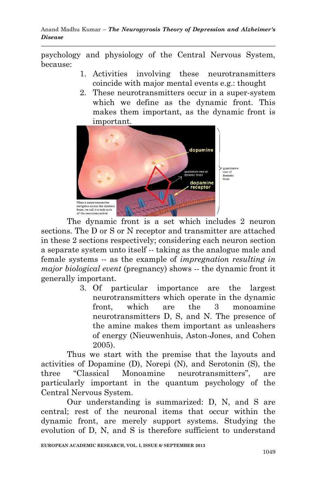psychology and physiology of the Central Nervous System, because:

- 1. Activities involving these neurotransmitters coincide with major mental events e.g.: thought
- 2. These neurotransmitters occur in a super-system which we define as the dynamic front. This makes them important, as the dynamic front is important.



The dynamic front is a set which includes 2 neuron sections. The D or S or N receptor and transmitter are attached in these 2 sections respectively; considering each neuron section a separate system unto itself -- taking as the analogue male and female systems -- as the example of *impregnation resulting in major biological event* (pregnancy) shows -- the dynamic front it generally important.

> 3. Of particular importance are the largest neurotransmitters which operate in the dynamic front, which are the 3 monoamine neurotransmitters D, S, and N. The presence of the amine makes them important as unleashers of energy (Nieuwenhuis, Aston-Jones, and Cohen 2005).

Thus we start with the premise that the layouts and activities of Dopamine (D), Norepi (N), and Serotonin (S), the three "Classical Monoamine neurotransmitters", are particularly important in the quantum psychology of the Central Nervous System.

Our understanding is summarized: D, N, and S are central; rest of the neuronal items that occur within the dynamic front, are merely support systems. Studying the evolution of D, N, and S is therefore sufficient to understand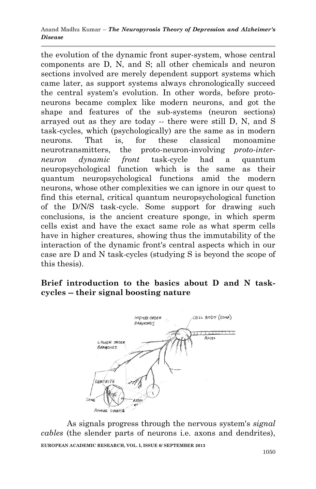the evolution of the dynamic front super-system, whose central components are D, N, and S; all other chemicals and neuron sections involved are merely dependent support systems which came later, as support systems always chronologically succeed the central system's evolution. In other words, before protoneurons became complex like modern neurons, and got the shape and features of the sub-systems (neuron sections) arrayed out as they are today -- there were still D, N, and S task-cycles, which (psychologically) are the same as in modern neurons. That is, for these classical monoamine neurotransmitters, the proto-neuron-involving *proto-interneuron dynamic front* task-cycle had a quantum neuropsychological function which is the same as their quantum neuropsychological functions amid the modern neurons, whose other complexities we can ignore in our quest to find this eternal, critical quantum neuropsychological function of the D/N/S task-cycle. Some support for drawing such conclusions, is the ancient creature sponge, in which sperm cells exist and have the exact same role as what sperm cells have in higher creatures, showing thus the immutability of the interaction of the dynamic front's central aspects which in our case are D and N task-cycles (studying S is beyond the scope of this thesis).

# **Brief introduction to the basics about D and N taskcycles -- their signal boosting nature**



**EUROPEAN ACADEMIC RESEARCH, VOL. I, ISSUE 6/ SEPTEMBER 2013** As signals progress through the nervous system's *signal cables* (the slender parts of neurons i.e. axons and dendrites),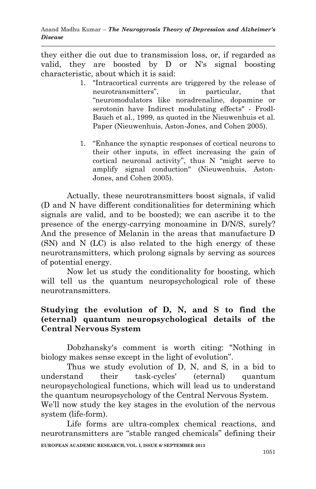they either die out due to transmission loss, or, if regarded as valid, they are boosted by D or N's signal boosting characteristic, about which it is said:

- 1. "Intracortical currents are triggered by the release of neurotransmitters", in particular, that "neuromodulators like noradrenaline, dopamine or serotonin have Indirect modulating effects" - Frodl-Bauch et al., 1999, as quoted in the Nieuwenhuis et al. Paper (Nieuwenhuis, Aston-Jones, and Cohen 2005).
- 1. "Enhance the synaptic responses of cortical neurons to their other inputs, in effect increasing the gain of cortical neuronal activity", thus N "might serve to amplify signal conduction" (Nieuwenhuis, Aston-Jones, and Cohen 2005).

Actually, these neurotransmitters boost signals, if valid (D and N have different conditionalities for determining which signals are valid, and to be boosted); we can ascribe it to the presence of the energy-carrying monoamine in D/N/S, surely? And the presence of Melanin in the areas that manufacture D (SN) and N (LC) is also related to the high energy of these neurotransmitters, which prolong signals by serving as sources of potential energy.

Now let us study the conditionality for boosting, which will tell us the quantum neuropsychological role of these neurotransmitters.

## **Studying the evolution of D, N, and S to find the (eternal) quantum neuropsychological details of the Central Nervous System**

Dobzhansky's comment is worth citing: "Nothing in biology makes sense except in the light of evolution".

Thus we study evolution of D, N, and S, in a bid to understand their task-cycles' (eternal) quantum neuropsychological functions, which will lead us to understand the quantum neuropsychology of the Central Nervous System.

We'll now study the key stages in the evolution of the nervous system (life-form).

**EUROPEAN ACADEMIC RESEARCH, VOL. I, ISSUE 6/ SEPTEMBER 2013** Life forms are ultra-complex chemical reactions, and neurotransmitters are "stable ranged chemicals" defining their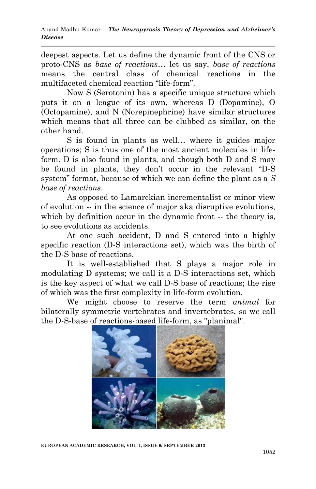deepest aspects. Let us define the dynamic front of the CNS or proto-CNS as *base of reactions*… let us say, *base of reactions* means the central class of chemical reactions in the multifaceted chemical reaction "life-form".

Now S (Serotonin) has a specific unique structure which puts it on a league of its own, whereas D (Dopamine), O (Octopamine), and N (Norepinephrine) have similar structures which means that all three can be clubbed as similar, on the other hand.

S is found in plants as well… where it guides major operations; S is thus one of the most ancient molecules in lifeform. D is also found in plants, and though both D and S may be found in plants, they don't occur in the relevant "D-S system" format, because of which we can define the plant as a *S base of reactions*.

As opposed to Lamarckian incrementalist or minor view of evolution -- in the science of major aka disruptive evolutions, which by definition occur in the dynamic front -- the theory is, to see evolutions as accidents.

At one such accident, D and S entered into a highly specific reaction (D-S interactions set), which was the birth of the D-S base of reactions.

It is well-established that S plays a major role in modulating D systems; we call it a D-S interactions set, which is the key aspect of what we call D-S base of reactions; the rise of which was the first complexity in life-form evolution.

We might choose to reserve the term *animal* for bilaterally symmetric vertebrates and invertebrates, so we call the D-S-base of reactions-based life-form, as "planimal".



**EUROPEAN ACADEMIC RESEARCH, VOL. I, ISSUE 6/ SEPTEMBER 2013**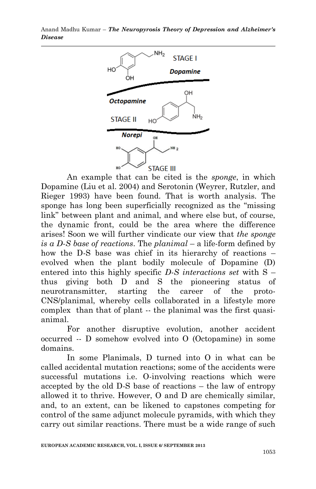

An example that can be cited is the *sponge*, in which Dopamine (Liu et al. 2004) and Serotonin (Weyrer, Rutzler, and Rieger 1993) have been found. That is worth analysis. The sponge has long been superficially recognized as the "missing link" between plant and animal, and where else but, of course, the dynamic front, could be the area where the difference arises! Soon we will further vindicate our view that *the sponge is a D-S base of reactions*. The *planimal* – a life-form defined by how the D-S base was chief in its hierarchy of reactions – evolved when the plant bodily molecule of Dopamine (D) entered into this highly specific *D-S interactions set* with S – thus giving both D and S the pioneering status of neurotransmitter, starting the career of the proto-CNS/planimal, whereby cells collaborated in a lifestyle more complex than that of plant -- the planimal was the first quasianimal.

For another disruptive evolution, another accident occurred -- D somehow evolved into O (Octopamine) in some domains.

In some Planimals, D turned into O in what can be called accidental mutation reactions; some of the accidents were successful mutations i.e. O-involving reactions which were accepted by the old D-S base of reactions – the law of entropy allowed it to thrive. However, O and D are chemically similar, and, to an extent, can be likened to capstones competing for control of the same adjunct molecule pyramids, with which they carry out similar reactions. There must be a wide range of such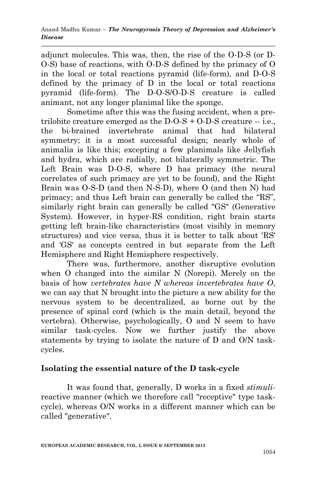adjunct molecules. This was, then, the rise of the O-D-S (or D-O-S) base of reactions, with O-D-S defined by the primacy of O in the local or total reactions pyramid (life-form), and D-O-S defined by the primacy of D in the local or total reactions pyramid (life-form). The D-O-S/O-D-S creature is called animant, not any longer planimal like the sponge.

Sometime after this was the fusing accident, when a pretrilobite creature emerged as the D-O-S *+* O-D-S creature -- i.e., the bi-brained invertebrate animal that had bilateral symmetry; it is a most successful design; nearly whole of animalia is like this; excepting a few planimals like Jellyfish and hydra, which are radially, not bilaterally symmetric. The Left Brain was D-O-S, where D has primacy (the neural correlates of such primacy are yet to be found), and the Right Brain was O-S-D (and then N-S-D), where O (and then N) had primacy; and thus Left brain can generally be called the "RS", similarly right brain can generally be called "GS" (Generative System). However, in hyper-RS condition, right brain starts getting left brain-like characteristics (most visibly in memory structures) and vice versa, thus it is better to talk about 'RS' and 'GS' as concepts centred in but separate from the Left Hemisphere and Right Hemisphere respectively.

There was, furthermore, another disruptive evolution when O changed into the similar N (Norepi). Merely on the basis of how *vertebrates have N whereas invertebrates have O*, we can say that N brought into the picture a new ability for the nervous system to be decentralized, as borne out by the presence of spinal cord (which is the main detail, beyond the vertebra). Otherwise, psychologically, O and N seem to have similar task-cycles. Now we further justify the above statements by trying to isolate the nature of D and O/N taskcycles.

# **Isolating the essential nature of the D task-cycle**

It was found that, generally, D works in a fixed *stimuli*reactive manner (which we therefore call "receptive" type taskcycle), whereas O/N works in a different manner which can be called "generative".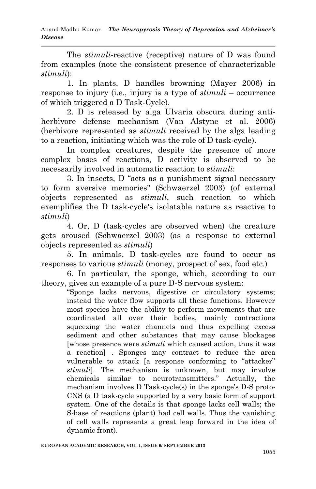The *stimuli*-reactive (receptive) nature of D was found from examples (note the consistent presence of characterizable *stimuli*):

1. In plants, D handles browning (Mayer 2006) in response to injury (i.e., injury is a type of *stimuli* – occurrence of which triggered a D Task-Cycle).

2. D is released by alga Ulvaria obscura during antiherbivore defense mechanism [\(Van Alstyne](http://www.researchgate.net/researcher/18943206_Kathryn_L_Van_Alstyne/) et al. 2006) (herbivore represented as *stimuli* received by the alga leading to a reaction, initiating which was the role of D task-cycle).

In complex creatures, despite the presence of more complex bases of reactions, D activity is observed to be necessarily involved in automatic reaction to *stimuli*:

3. In insects, D "acts as a punishment signal necessary to form aversive memories" [\(Schwaerzel](http://f1000.com/prime/search/evaluatedpubmed?query=Schwaerzel+M&queryField=Author) 2003) (of external objects represented as *stimuli*, such reaction to which exemplifies the D task-cycle's isolatable nature as reactive to *stimuli*)

4. Or, D (task-cycles are observed when) the creature gets aroused [\(Schwaerzel 2003\)](http://f1000.com/prime/search/evaluatedpubmed?query=Schwaerzel+M&queryField=Author) (as a response to external objects represented as *stimuli*)

5. In animals, D task-cycles are found to occur as responses to various *stimuli* (money, prospect of sex, food etc.)

6. In particular, the sponge, which, according to our theory, gives an example of a pure D-S nervous system:

"Sponge lacks nervous, digestive or circulatory systems; instead the water flow supports all these functions. However most species have the ability to perform movements that are coordinated all over their bodies, mainly contractions squeezing the water channels and thus expelling excess sediment and other substances that may cause blockages [whose presence were *stimuli* which caused action, thus it was a reaction] . Sponges may contract to reduce the area vulnerable to attack [a response conforming to "attacker" *stimuli*]. The mechanism is unknown, but may involve chemicals similar to neurotransmitters." Actually, the mechanism involves D Task-cycle(s) in the sponge's D-S proto-CNS (a D task-cycle supported by a very basic form of support system. One of the details is that sponge lacks cell walls; the S-base of reactions (plant) had cell walls. Thus the vanishing of cell walls represents a great leap forward in the idea of dynamic front).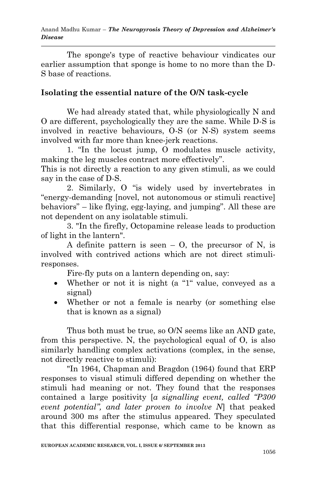The sponge's type of reactive behaviour vindicates our earlier assumption that sponge is home to no more than the D-S base of reactions.

# **Isolating the essential nature of the O/N task-cycle**

We had already stated that, while physiologically N and O are different, psychologically they are the same. While D-S is involved in reactive behaviours, O-S (or N-S) system seems involved with far more than knee-jerk reactions.

1. "In the locust jump, O modulates muscle activity, making the leg muscles contract more effectively".

This is not directly a reaction to any given stimuli, as we could say in the case of D-S.

2. Similarly, O "is widely used by invertebrates in "energy-demanding [novel, not autonomous or stimuli reactive] behaviors" – like flying, egg-laying, and jumping". All these are not dependent on any isolatable stimuli.

3. "In the firefly, Octopamine release leads to production of light in the lantern".

A definite pattern is seen  $-$  O, the precursor of N, is involved with contrived actions which are not direct stimuliresponses.

Fire-fly puts on a lantern depending on, say:

- Whether or not it is night (a "1" value, conveyed as a signal)
- Whether or not a female is nearby (or something else that is known as a signal)

Thus both must be true, so O/N seems like an AND gate, from this perspective. N, the psychological equal of O, is also similarly handling complex activations (complex, in the sense, not directly reactive to stimuli):

"In 1964, Chapman and Bragdon (1964) found that ERP responses to visual stimuli differed depending on whether the stimuli had meaning or not. They found that the responses contained a large positivity [*a signalling event, called "P300 event potential", and later proven to involve N*] that peaked around 300 ms after the stimulus appeared. They speculated that this differential response, which came to be known as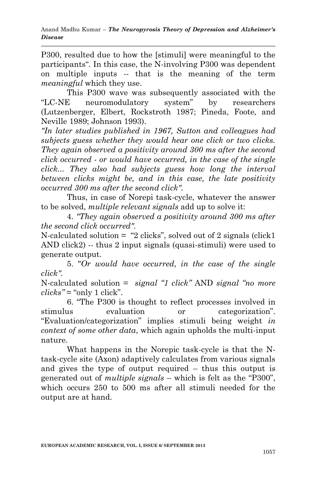P300, resulted due to how the [stimuli] were meaningful to the participants". In this case, the N-involving P300 was dependent on multiple inputs -- that is the meaning of the term *meaningful* which they use.

This P300 wave was subsequently associated with the "LC-NE neuromodulatory system" by researchers (Lutzenberger, Elbert, Rockstroth 1987; Pineda, Foote, and Neville 1989; Johnson 1993).

*"In later studies published in 1967, Sutton and colleagues had subjects guess whether they would hear one click or two clicks. They again observed a positivity around 300 ms after the second click occurred - or would have occurred, in the case of the single click... They also had subjects guess how long the interval between clicks might be, and in this case, the late positivity occurred 300 ms after the second click".* 

Thus, in case of Norepi task-cycle, whatever the answer to be solved, *multiple relevant signals* add up to solve it:

4. *"They again observed a positivity around 300 ms after the second click occurred".*

N-calculated solution  $=$  "2 clicks", solved out of 2 signals (click1) AND click2) -- thus 2 input signals (quasi-stimuli) were used to generate output.

5. "*Or would have occurred, in the case of the single click".* 

N-calculated solution = *signal "1 click"* AND *signal "no more*   $clicks" = "only 1 click".$ 

6. "The P300 is thought to reflect processes involved in stimulus evaluation or categorization". "Evaluation/categorization" implies stimuli being weight *in context of some other data*, which again upholds the multi-input nature.

What happens in the Norepic task-cycle is that the Ntask-cycle site (Axon) adaptively calculates from various signals and gives the type of output required – thus this output is generated out of *multiple signals* – which is felt as the "P300", which occurs 250 to 500 ms after all stimuli needed for the output are at hand.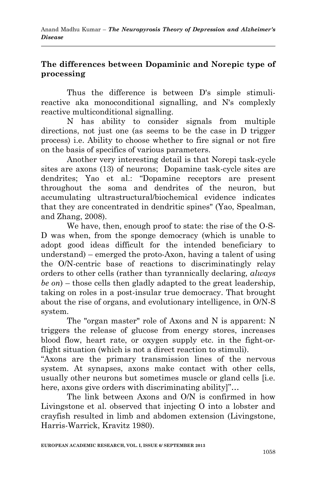## **The differences between Dopaminic and Norepic type of processing**

Thus the difference is between D's simple stimulireactive aka monoconditional signalling, and N's complexly reactive multiconditional signalling.

N has ability to consider signals from multiple directions, not just one (as seems to be the case in D trigger process) i.e. Ability to choose whether to fire signal or not fire on the basis of specifics of various parameters.

Another very interesting detail is that Norepi task-cycle sites are axons (13) of neurons; Dopamine task-cycle sites are dendrites; Yao et al.: "Dopamine receptors are present throughout the soma and dendrites of the neuron, but accumulating ultrastructural/biochemical evidence indicates that they are concentrated in dendritic spines" (Yao, Spealman, and Zhang, 2008).

We have, then, enough proof to state: the rise of the O-S-D was when, from the sponge democracy (which is unable to adopt good ideas difficult for the intended beneficiary to understand) – emerged the proto-Axon, having a talent of using the O/N-centric base of reactions to discriminatingly relay orders to other cells (rather than tyrannically declaring, *always be on*) – those cells then gladly adapted to the great leadership, taking on roles in a post-insular true democracy. That brought about the rise of organs, and evolutionary intelligence, in O/N-S system.

The "organ master" role of Axons and N is apparent: N triggers the release of glucose from energy stores, increases blood flow, heart rate, or oxygen supply etc. in the fight-orflight situation (which is not a direct reaction to stimuli).

"Axons are the primary transmission lines of the nervous system. At synapses, axons make contact with other cells, usually other neurons but sometimes muscle or gland cells [i.e. here, axons give orders with discriminating ability]"…

The link between Axons and O/N is confirmed in how Livingstone et al. observed that injecting O into a lobster and crayfish resulted in limb and abdomen extension (Livingstone, Harris-Warrick, Kravitz 1980).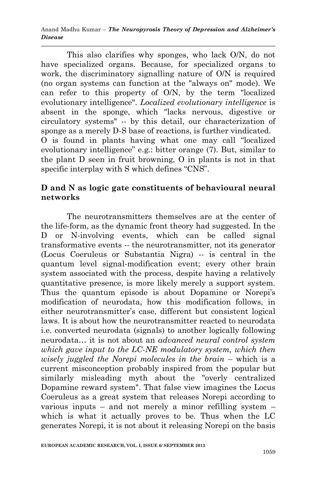This also clarifies why sponges, who lack O/N, do not have specialized organs. Because, for specialized organs to work, the discriminatory signalling nature of O/N is required (no organ systems can function at the "always on" mode). We can refer to this property of O/N, by the term "localized evolutionary intelligence". *Localized evolutionary intelligence* is absent in the sponge, which "lacks nervous, digestive or circulatory systems" -- by this detail, our characterization of sponge as a merely D-S base of reactions, is further vindicated. O is found in plants having what one may call "localized evolutionary intelligence" e.g.: bitter orange (7). But, similar to the plant D seen in fruit browning, O in plants is not in that specific interplay with S which defines "CNS".

## **D and N as logic gate constituents of behavioural neural networks**

The neurotransmitters themselves are at the center of the life-form, as the dynamic front theory had suggested. In the D or N-involving events, which can be called signal transformative events -- the neurotransmitter, not its generator (Locus Coeruleus or Substantia Nigra) -- is central in the quantum level signal-modification event; every other brain system associated with the process, despite having a relatively quantitative presence, is more likely merely a support system. Thus the quantum episode is about Dopamine or Norepi's modification of neurodata, how this modification follows, in either neurotransmitter's case, different but consistent logical laws. It is about how the neurotransmitter reacted to neurodata i.e. converted neurodata (signals) to another logically following neurodata… it is not about an *advanced neural control system which gave input to the LC-NE modulatory system, which then wisely juggled the Norepi molecules in the brain* – which is a current misconception probably inspired from the popular but similarly misleading myth about the "overly centralized Dopamine reward system". That false view imagines the Locus Coeruleus as a great system that releases Norepi according to various inputs – and not merely a minor refilling system – which is what it actually proves to be. Thus when the LC generates Norepi, it is not about it releasing Norepi on the basis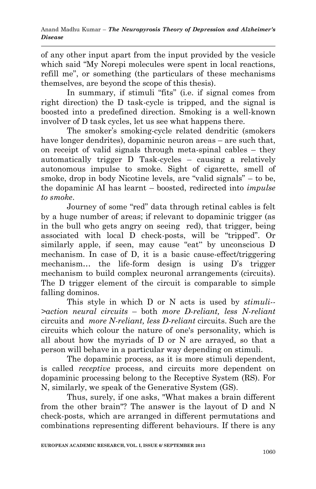of any other input apart from the input provided by the vesicle which said "My Norepi molecules were spent in local reactions, refill me", or something (the particulars of these mechanisms themselves, are beyond the scope of this thesis).

In summary, if stimuli "fits" (i.e. if signal comes from right direction) the D task-cycle is tripped, and the signal is boosted into a predefined direction. Smoking is a well-known involver of D task cycles, let us see what happens there.

The smoker's smoking-cycle related dendritic (smokers have longer dendrites), dopaminic neuron areas – are such that, on receipt of valid signals through meta-spinal cables – they automatically trigger D Task-cycles – causing a relatively autonomous impulse to smoke. Sight of cigarette, smell of smoke, drop in body Nicotine levels, are "valid signals" – to be, the dopaminic AI has learnt – boosted, redirected into *impulse to smoke*.

Journey of some "red" data through retinal cables is felt by a huge number of areas; if relevant to dopaminic trigger (as in the bull who gets angry on seeing red), that trigger, being associated with local D check-posts, will be "tripped". Or similarly apple, if seen, may cause "eat" by unconscious D mechanism. In case of D, it is a basic cause-effect/triggering mechanism… the life-form design is using D's trigger mechanism to build complex neuronal arrangements (circuits). The D trigger element of the circuit is comparable to simple falling dominos.

This style in which D or N acts is used by *stimuli-- >action neural circuits* – both *more D-reliant, less N-reliant* circuits and *more N-reliant, less D-reliant* circuits. Such are the circuits which colour the nature of one's personality, which is all about how the myriads of D or N are arrayed, so that a person will behave in a particular way depending on stimuli.

The dopaminic process, as it is more stimuli dependent, is called *receptive* process, and circuits more dependent on dopaminic processing belong to the Receptive System (RS). For N, similarly, we speak of the Generative System (GS).

Thus, surely, if one asks, "What makes a brain different from the other brain"? The answer is the layout of D and N check-posts, which are arranged in different permutations and combinations representing different behaviours. If there is any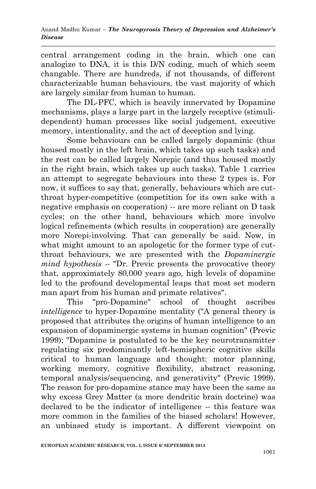central arrangement coding in the brain, which one can analogize to DNA, it is this D/N coding, much of which seem changable. There are hundreds, if not thousands, of different characterizable human behaviours, the vast majority of which are largely similar from human to human.

The DL-PFC, which is heavily innervated by Dopamine mechanisms, plays a large part in the largely receptive (stimulidependent) human processes like social judgement, executive memory, intentionality, and the act of deception and lying.

Some behaviours can be called largely dopaminic (thus housed mostly in the left brain, which takes up such tasks) and the rest can be called largely Norepic (and thus housed mostly in the right brain, which takes up such tasks). Table 1 carries an attempt to segregate behaviours into these 2 types is. For now, it suffices to say that, generally, behaviours which are cutthroat hyper-competitive (competition for its own sake with a negative emphasis on cooperation) -- are more reliant on D task cycles; on the other hand, behaviours which more involve logical refinements (which results in cooperation) are generally more Norepi-involving. That can generally be said. Now, in what might amount to an apologetic for the former type of cutthroat behaviours, we are presented with the *Dopaminergic mind hypothesis* -- "Dr. Previc presents the provocative theory that, approximately 80,000 years ago, high levels of dopamine led to the profound developmental leaps that most set modern man apart from his human and primate relatives".

This "pro-Dopamine" school of thought ascribes *intelligence* to hyper-Dopamine mentality ("A general theory is proposed that attributes the origins of human intelligence to an expansion of dopaminergic systems in human cognition" (Previc 1999); "Dopamine is postulated to be the key neurotransmitter regulating six predominantly left-hemispheric cognitive skills critical to human language and thought: motor planning, working memory, cognitive flexibility, abstract reasoning, temporal analysis/sequencing, and generativity" (Previc 1999). The reason for pro-dopamine stance may have been the same as why excess Grey Matter (a more dendritic brain doctrine) was declared to be the indicator of intelligence -- this feature was more common in the families of the biased scholars! However, an unbiased study is important. A different viewpoint on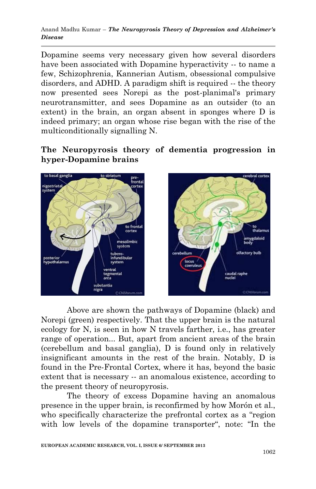Dopamine seems very necessary given how several disorders have been associated with Dopamine hyperactivity -- to name a few, Schizophrenia, Kannerian Autism, obsessional compulsive disorders, and ADHD. A paradigm shift is required -- the theory now presented sees Norepi as the post-planimal's primary neurotransmitter, and sees Dopamine as an outsider (to an extent) in the brain, an organ absent in sponges where D is indeed primary; an organ whose rise began with the rise of the multiconditionally signalling N.

## **The Neuropyrosis theory of dementia progression in hyper-Dopamine brains**



Above are shown the pathways of Dopamine (black) and Norepi (green) respectively. That the upper brain is the natural ecology for N, is seen in how N travels farther, i.e., has greater range of operation... But, apart from ancient areas of the brain (cerebellum and basal ganglia), D is found only in relatively insignificant amounts in the rest of the brain. Notably, D is found in the Pre-Frontal Cortex, where it has, beyond the basic extent that is necessary -- an anomalous existence, according to the present theory of neuropyrosis.

The theory of excess Dopamine having an anomalous presence in the upper brain, is reconfirmed by how Morón et al., who specifically characterize the prefrontal cortex as a "region with low levels of the dopamine transporter", note: "In the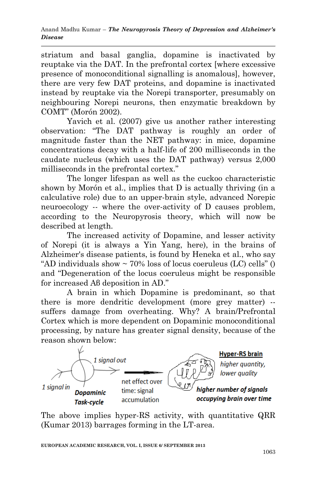striatum and basal ganglia, dopamine is inactivated by reuptake via the DAT. In the prefrontal cortex [where excessive presence of monoconditional signalling is anomalous], however, there are very few DAT proteins, and dopamine is inactivated instead by reuptake via the Norepi transporter, presumably on neighbouring Norepi neurons, then enzymatic breakdown by COMT" (Morón 2002).

Yavich et al. (2007) give us another rather interesting observation: "The DAT pathway is roughly an order of magnitude faster than the NET pathway: in mice, dopamine concentrations decay with a half-life of 200 milliseconds in the caudate nucleus (which uses the DAT pathway) versus 2,000 milliseconds in the prefrontal cortex."

The longer lifespan as well as the cuckoo characteristic shown by Morón et al., implies that D is actually thriving (in a calculative role) due to an upper-brain style, advanced Norepic neuroecology -- where the over-activity of D causes problem, according to the Neuropyrosis theory, which will now be described at length.

The increased activity of Dopamine, and lesser activity of Norepi (it is always a Yin Yang, here), in the brains of Alzheimer's disease patients, is found by Heneka et al., who say "AD individuals show  $\sim$  70% loss of locus coeruleus (LC) cells" () and "Degeneration of the locus coeruleus might be responsible for increased Aβ deposition in AD."

A brain in which Dopamine is predominant, so that there is more dendritic development (more grey matter) - suffers damage from overheating. Why? A brain/Prefrontal Cortex which is more dependent on Dopaminic monoconditional processing, by nature has greater signal density, because of the reason shown below:



The above implies hyper-RS activity, with quantitative QRR (Kumar 2013) barrages forming in the LT-area.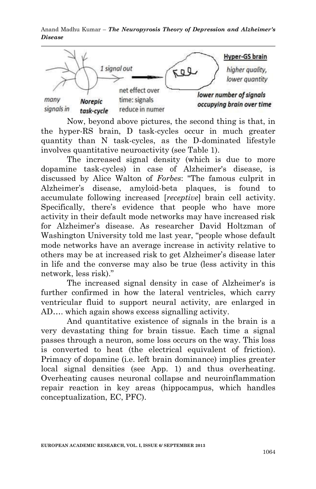

Now, beyond above pictures, the second thing is that, in the hyper-RS brain, D task-cycles occur in much greater quantity than N task-cycles, as the D-dominated lifestyle involves quantitative neuroactivity (see Table 1).

The increased signal density (which is due to more dopamine task-cycles) in case of Alzheimer's disease, is discussed by Alice Walton of *Forbes*: "The famous culprit in Alzheimer's disease, amyloid-beta plaques, is found to accumulate following increased [*receptive*] brain cell activity. Specifically, there's evidence that people who have more activity in their default mode networks may have increased risk for Alzheimer's disease. As researcher David Holtzman of Washington University told me last year, "people whose default mode networks have an average increase in activity relative to others may be at increased risk to get Alzheimer's disease later in life and the converse may also be true (less activity in this network, less risk)."

The increased signal density in case of Alzheimer's is further confirmed in how the lateral ventricles, which carry ventricular fluid to support neural activity, are enlarged in AD…. which again shows excess signalling activity.

And quantitative existence of signals in the brain is a very devastating thing for brain tissue. Each time a signal passes through a neuron, some loss occurs on the way. This loss is converted to heat (the electrical equivalent of friction). Primacy of dopamine (i.e. left brain dominance) implies greater local signal densities (see App. 1) and thus overheating. Overheating causes neuronal collapse and neuroinflammation repair reaction in key areas (hippocampus, which handles conceptualization, EC, PFC).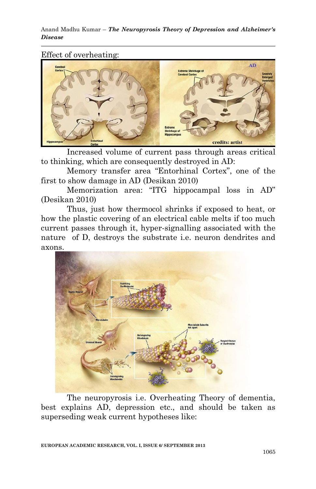### Effect of overheating:



Increased volume of current pass through areas critical to thinking, which are consequently destroyed in AD:

Memory transfer area "Entorhinal Cortex", one of the first to show damage in AD (Desikan 2010)

Memorization area: "ITG hippocampal loss in AD" (Desikan 2010)

Thus, just how thermocol shrinks if exposed to heat, or how the plastic covering of an electrical cable melts if too much current passes through it, hyper-signalling associated with the nature of D, destroys the substrate i.e. neuron dendrites and axons.



The neuropyrosis i.e. Overheating Theory of dementia, best explains AD, depression etc., and should be taken as superseding weak current hypotheses like: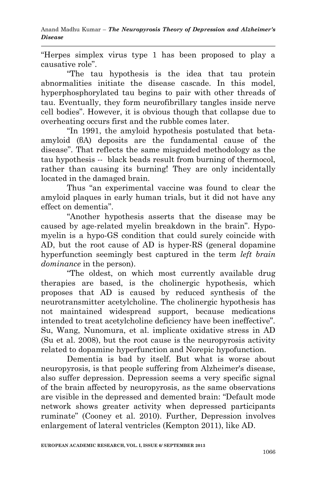"Herpes simplex virus type 1 has been proposed to play a causative role".

"The tau hypothesis is the idea that tau protein abnormalities initiate the disease cascade. In this model, hyperphosphorylated tau begins to pair with other threads of tau. Eventually, they form neurofibrillary tangles inside nerve cell bodies". However, it is obvious though that collapse due to overheating occurs first and the rubble comes later.

"In 1991, the amyloid hypothesis postulated that betaamyloid (βA) deposits are the fundamental cause of the disease". That reflects the same misguided methodology as the tau hypothesis -- black beads result from burning of thermocol, rather than causing its burning! They are only incidentally located in the damaged brain.

Thus "an experimental vaccine was found to clear the amyloid plaques in early human trials, but it did not have any effect on dementia".

"Another hypothesis asserts that the disease may be caused by age-related myelin breakdown in the brain". Hypomyelin is a hypo-GS condition that could surely coincide with AD, but the root cause of AD is hyper-RS (general dopamine hyperfunction seemingly best captured in the term *left brain dominance* in the person).

"The oldest, on which most currently available drug therapies are based, is the cholinergic hypothesis, which proposes that AD is caused by reduced synthesis of the neurotransmitter acetylcholine. The cholinergic hypothesis has not maintained widespread support, because medications intended to treat acetylcholine deficiency have been ineffective". Su, Wang, Nunomura, et al. implicate oxidative stress in AD (Su et al. 2008), but the root cause is the neuropyrosis activity related to dopamine hyperfunction and Norepic hypofunction.

Dementia is bad by itself. But what is worse about neuropyrosis, is that people suffering from Alzheimer's disease, also suffer depression. Depression seems a very specific signal of the brain affected by neuropyrosis, as the same observations are visible in the depressed and demented brain: "Default mode network shows greater activity when depressed participants ruminate" (Cooney et al. 2010). Further, Depression involves enlargement of lateral ventricles (Kempton 2011), like AD.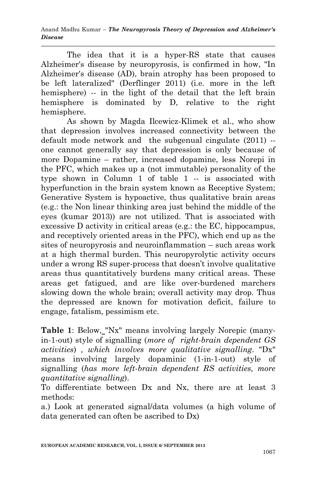The idea that it is a hyper-RS state that causes Alzheimer's disease by neuropyrosis, is confirmed in how, "In Alzheimer's disease (AD), brain atrophy has been proposed to be left lateralized" (Derflinger 2011) (i.e. more in the left hemisphere) -- in the light of the detail that the left brain hemisphere is dominated by D, relative to the right hemisphere.

As shown by Magda Ilcewicz-Klimek et al., who show that depression involves increased connectivity between the default mode network and the subgenual cingulate (2011) - one cannot generally say that depression is only because of more Dopamine – rather, increased dopamine, less Norepi in the PFC, which makes up a (not immutable) personality of the type shown in Column 1 of table 1 -- is associated with hyperfunction in the brain system known as Receptive System; Generative System is hypoactive, thus qualitative brain areas (e.g.: the Non linear thinking area just behind the middle of the eyes (kumar 2013)) are not utilized. That is associated with excessive D activity in critical areas (e.g.: the EC, hippocampus, and receptively oriented areas in the PFC), which end up as the sites of neuropyrosis and neuroinflammation – such areas work at a high thermal burden. This neuropyrolytic activity occurs under a wrong RS super-process that doesn't involve qualitative areas thus quantitatively burdens many critical areas. These areas get fatigued, and are like over-burdened marchers slowing down the whole brain; overall activity may drop. Thus the depressed are known for motivation deficit, failure to engage, fatalism, pessimism etc.

**Table 1**: Below, "Nx" means involving largely Norepic (manyin-1-out) style of signalling (*more of right-brain dependent GS activities*) *, which involves more qualitative signalling*. "Dx" means involving largely dopaminic (1-in-1-out) style of signalling (*has more left-brain dependent RS activities, more quantitative signalling*).

To differentiate between Dx and Nx, there are at least 3 methods:

a.) Look at generated signal/data volumes (a high volume of data generated can often be ascribed to Dx)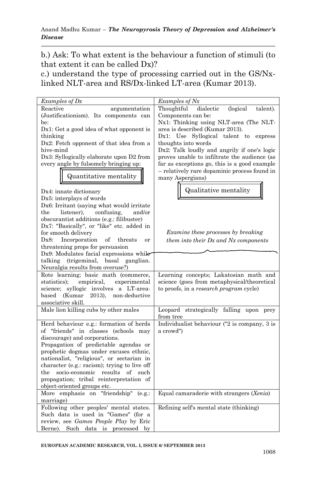b.) Ask: To what extent is the behaviour a function of stimuli (to that extent it can be called Dx)?

c.) understand the type of processing carried out in the GS/Nxlinked NLT-area and RS/Dx-linked LT-area (Kumar 2013).

| Examples of Dx                                                                            | Examples of Nx                                                    |
|-------------------------------------------------------------------------------------------|-------------------------------------------------------------------|
| Reactive<br>argumentation                                                                 | (logical<br>Thoughtful<br>dialectic<br>talent).                   |
| (Justificationism). Its components can                                                    | Components can be:                                                |
| be:                                                                                       | Nx1: Thinking using NLT-area (The NLT-                            |
| $Dx1$ : Get a good idea of what opponent is                                               | area is described (Kumar 2013).                                   |
| thinking                                                                                  | Dx1: Use Syllogical talent to express                             |
| $Dx2$ : Fetch opponent of that idea from a                                                | thoughts into words                                               |
| hive-mind                                                                                 | Dx2: Talk loudly and angrily if one's logic                       |
| Dx3: Syllogically elaborate upon D2 from                                                  | proves unable to infiltrate the audience (as                      |
| every angle by fulsomely bringing up:                                                     | far as exceptions go, this is a good example                      |
| Quantitative mentality                                                                    | -- relatively rare dopaminic process found in<br>many Aspergians) |
|                                                                                           |                                                                   |
| Dx4: innate dictionary                                                                    | Qualitative mentality                                             |
| Dx5: interplays of words                                                                  |                                                                   |
| Dx6: Irritant (saying what would irritate                                                 |                                                                   |
| confusing.<br>the<br>listener).<br>and/or                                                 |                                                                   |
| obscurantist additions (e.g.: filibuster)                                                 |                                                                   |
| Dx7: "Basically", or "like" etc. added in                                                 |                                                                   |
| for smooth delivery                                                                       | <i>Examine these processes by breaking</i>                        |
| Incorporation<br>$Dx8$ :<br>of<br>threats<br><b>or</b>                                    | them into their Dx and Nx components                              |
| threatening props for persuasion                                                          |                                                                   |
| $Dx9$ : Modulates facial expressions while                                                |                                                                   |
| talking (trigeminal, basal ganglian.                                                      |                                                                   |
| Neuralgia results from overuse?)                                                          |                                                                   |
| Rote learning; basic math (commerce,                                                      | Learning concepts; Lakatosian math and                            |
| statistics);<br>empirical,<br>experimental                                                | science (goes from metaphysical/theoretical                       |
| science; syllogic involves a LT-area-<br>(Kumar<br>2013), non-deductive<br>$_{\rm based}$ | to proofs, in a research program cycle)                           |
| associative skill.                                                                        |                                                                   |
| Male lion killing cubs by other males                                                     | Leopard strategically falling upon prey                           |
|                                                                                           | from tree                                                         |
| Herd behaviour e.g.: formation of herds                                                   | Individualist behaviour ("2 is company, 3 is                      |
| of "friends" in classes (schools may                                                      | a crowd")                                                         |
| discourage) and corporations.                                                             |                                                                   |
| Propagation of predictable agendas or                                                     |                                                                   |
| prophetic dogmas under excuses ethnic,                                                    |                                                                   |
| nationalist, "religious", or sectarian in                                                 |                                                                   |
| character (e.g.: racism); trying to live off                                              |                                                                   |
| socio-economic results of such<br>the                                                     |                                                                   |
| propagation; tribal reinterpretation of                                                   |                                                                   |
| object-oriented groups etc.                                                               |                                                                   |
| More emphasis on "friendship"<br>(e.g.:                                                   | Equal camaraderie with strangers (Xenia)                          |
| marriage)                                                                                 |                                                                   |
| Following other peoples' mental states.                                                   | Refining self's mental state (thinking)                           |
| Such data is used in "Games" (for a                                                       |                                                                   |
| review, see Games People Play by Eric                                                     |                                                                   |
| Berne). Such data is processed<br>by                                                      |                                                                   |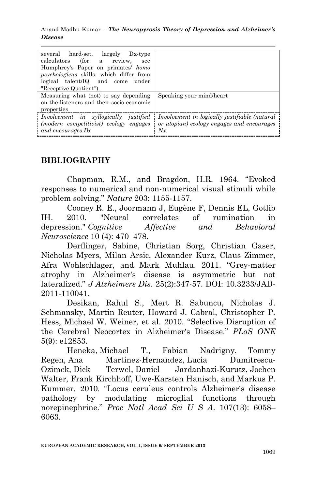| several hard-set, largely Dx-type<br>calculators (for a review,<br>see<br>Humphrey's Paper on primates' homo<br><i>psychologicus</i> skills, which differ from<br>logical talent/IQ and come<br>under<br>"Receptive Quotient"). |                                                                                                       |
|---------------------------------------------------------------------------------------------------------------------------------------------------------------------------------------------------------------------------------|-------------------------------------------------------------------------------------------------------|
| Measuring what (not) to say depending<br>on the listeners and their socio-economic<br>properties                                                                                                                                | Speaking your mind/heart                                                                              |
| Involvement in syllogically justified<br>(modern competitivist) ecology engages<br>and encourages Dx                                                                                                                            | Involvement in logically justifiable (natural<br>or utopian) ecology engages and encourages<br>$Nx$ . |

## **BIBLIOGRAPHY**

Chapman, R.M., and Bragdon, H.R. 1964. "Evoked responses to numerical and non-numerical visual stimuli while problem solving." *Nature* 203: 1155-1157.

Cooney R. E., Joormann J, Eugène F, Dennis EL, Gotlib IH. 2010. "Neural correlates of rumination in depression." *Cognitive Affective and Behavioral Neuroscience* 10 (4): 470–478.

Derflinger, Sabine, Christian Sorg, Christian Gaser, Nicholas Myers, Milan Arsic, Alexander Kurz, Claus Zimmer, Afra Wohlschlager, and Mark Muhlau. 2011. "Grey-matter atrophy in Alzheimer's disease is asymmetric but not lateralized." *J Alzheimers Dis*. 25(2):347-57. DOI: 10.3233/JAD-2011-110041.

Desikan, Rahul S., Mert R. Sabuncu, Nicholas J. Schmansky, Martin Reuter, Howard J. Cabral, Christopher P. Hess, Michael W. Weiner, et al. 2010. "Selective Disruption of the Cerebral Neocortex in Alzheimer's Disease." *PLoS ONE* 5(9): e12853.

[Heneka,](http://www.ncbi.nlm.nih.gov/pubmed/?term=Heneka%20MT%5Bauth%5D) Michael T., [Fabian Nadrigny,](http://www.ncbi.nlm.nih.gov/pubmed/?term=Nadrigny%20F%5Bauth%5D) [Tommy](http://www.ncbi.nlm.nih.gov/pubmed/?term=Regen%20T%5Bauth%5D)  [Regen,](http://www.ncbi.nlm.nih.gov/pubmed/?term=Regen%20T%5Bauth%5D) [Ana Martinez-Hernandez,](http://www.ncbi.nlm.nih.gov/pubmed/?term=Martinez-Hernandez%20A%5Bauth%5D) Lucia [Dumitrescu-](http://www.ncbi.nlm.nih.gov/pubmed/?term=Dumitrescu-Ozimek%20L%5Bauth%5D)[Ozimek,](http://www.ncbi.nlm.nih.gov/pubmed/?term=Dumitrescu-Ozimek%20L%5Bauth%5D) [Dick Terwel,](http://www.ncbi.nlm.nih.gov/pubmed/?term=Terwel%20D%5Bauth%5D) [Daniel Jardanhazi-Kurutz,](http://www.ncbi.nlm.nih.gov/pubmed/?term=Jardanhazi-Kurutz%20D%5Bauth%5D) [Jochen](http://www.ncbi.nlm.nih.gov/pubmed/?term=Walter%20J%5Bauth%5D)  [Walter,](http://www.ncbi.nlm.nih.gov/pubmed/?term=Walter%20J%5Bauth%5D) [Frank Kirchhoff,](http://www.ncbi.nlm.nih.gov/pubmed/?term=Kirchhoff%20F%5Bauth%5D) [Uwe-Karsten Hanisch,](http://www.ncbi.nlm.nih.gov/pubmed/?term=Hanisch%20UK%5Bauth%5D) and [Markus P.](http://www.ncbi.nlm.nih.gov/pubmed/?term=Kummer%20MP%5Bauth%5D)  [Kummer.](http://www.ncbi.nlm.nih.gov/pubmed/?term=Kummer%20MP%5Bauth%5D) 2010. "Locus ceruleus controls Alzheimer's disease pathology by modulating microglial functions through norepinephrine." *Proc Natl Acad Sci U S A*. 107(13): 6058– 6063.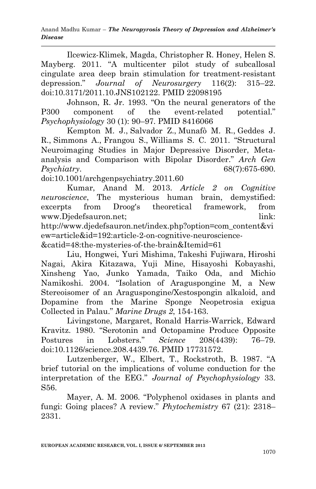Ilcewicz-Klimek, Magda, Christopher R. Honey, Helen S. Mayberg. 2011. "A multicenter pilot study of subcallosal cingulate area deep brain stimulation for treatment-resistant depression." *Journal of Neurosurgery* 116(2): 315–22. doi:10.3171/2011.10.JNS102122. PMID 22098195

Johnson, R. Jr. 1993. "On the neural generators of the P300 component of the event-related potential." *Psychophysiology* 30 (1): 90–97. PMID 8416066

[Kempton M. J.](http://www.ncbi.nlm.nih.gov/pubmed?term=Kempton%20MJ%5BAuthor%5D&cauthor=true&cauthor_uid=21727252), [Salvador Z.](http://www.ncbi.nlm.nih.gov/pubmed?term=Salvador%20Z%5BAuthor%5D&cauthor=true&cauthor_uid=21727252), [Munafò M. R.](http://www.ncbi.nlm.nih.gov/pubmed?term=Munaf%C3%B2%20MR%5BAuthor%5D&cauthor=true&cauthor_uid=21727252), [Geddes J.](http://www.ncbi.nlm.nih.gov/pubmed?term=Geddes%20JR%5BAuthor%5D&cauthor=true&cauthor_uid=21727252)  [R.](http://www.ncbi.nlm.nih.gov/pubmed?term=Geddes%20JR%5BAuthor%5D&cauthor=true&cauthor_uid=21727252), [Simmons A.](http://www.ncbi.nlm.nih.gov/pubmed?term=Simmons%20A%5BAuthor%5D&cauthor=true&cauthor_uid=21727252), [Frangou S.](http://www.ncbi.nlm.nih.gov/pubmed?term=Frangou%20S%5BAuthor%5D&cauthor=true&cauthor_uid=21727252), [Williams S. C.](http://www.ncbi.nlm.nih.gov/pubmed?term=Williams%20SC%5BAuthor%5D&cauthor=true&cauthor_uid=21727252) 2011. "Structural Neuroimaging Studies in Major Depressive Disorder, Metaanalysis and Comparison with Bipolar Disorder." *Arch Gen Psychiatry*. 68(7):675-690.

doi:10.1001/archgenpsychiatry.2011.60

Kumar, Anand M. 2013. *Article 2 on Cognitive neuroscience*, The mysterious human brain, demystified: excerpts from Droog's theoretical framework, from www.Diedefsauron.net: link: http://www.djedefsauron.net/index.php?option=com\_content&vi ew=article&id=192:article-2-on-cognitive-neuroscience-

&catid=48:the-mysteries-of-the-brain&Itemid=61

Liu, Hongwei, Yuri Mishima, Takeshi Fujiwara, Hiroshi Nagai, Akira Kitazawa, Yuji Mine, Hisayoshi Kobayashi, Xinsheng Yao, Junko Yamada, Taiko Oda, and Michio Namikoshi. 2004. "Isolation of Araguspongine M, a New Stereoisomer of an Araguspongine/Xestospongin alkaloid, and Dopamine from the Marine Sponge Neopetrosia exigua Collected in Palau." *Marine Drugs 2*, 154-163.

Livingstone, Margaret, Ronald Harris-Warrick, Edward Kravitz. 1980. "Serotonin and Octopamine Produce Opposite Postures in Lobsters." *Science* 208(4439): 76–79. doi:10.1126/science.208.4439.76. PMID 17731572.

Lutzenberger, W., Elbert, T., Rockstroth, B. 1987. "A brief tutorial on the implications of volume conduction for the interpretation of the EEG." *Journal of Psychophysiology* 33. S56.

Mayer, A. M. 2006. "Polyphenol oxidases in plants and fungi: Going places? A review." *Phytochemistry* 67 (21): 2318– 2331.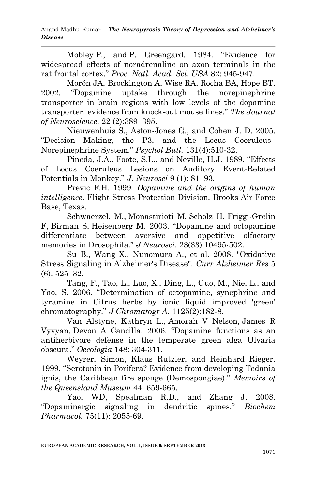Mobley P., and P. Greengard. 1984. "Evidence for widespread effects of noradrenaline on axon terminals in the rat frontal cortex." *Proc. Natl. Acad. Sci. USA* 82: 945-947.

Morón JA, Brockington A, Wise RA, Rocha BA, Hope BT. 2002. "Dopamine uptake through the norepinephrine transporter in brain regions with low levels of the dopamine transporter: evidence from knock-out mouse lines." *The Journal of Neuroscience*. 22 (2):389–395.

Nieuwenhuis S., Aston-Jones G., and Cohen J. D. 2005. "Decision Making, the P3, and the Locus Coeruleus– Norepinephrine System." *[Psychol Bull.](http://www.ncbi.nlm.nih.gov/pubmed/16060800)* 131(4):510-32.

Pineda, J.A., Foote, S.L., and Neville, H.J. 1989. "Effects of Locus Coeruleus Lesions on Auditory Event-Related Potentials in Monkey." *J. Neurosci* 9 (1): 81–93.

Previc F.H. 1999. *Dopamine and the origins of human intelligence*. Flight Stress Protection Division, Brooks Air Force Base, Texas.

[Schwaerzel,](http://f1000.com/prime/search/evaluatedpubmed?query=Schwaerzel+M&queryField=Author) M., [Monastirioti M,](http://f1000.com/prime/search/evaluatedpubmed?query=Monastirioti+M&queryField=Author) [Scholz H,](http://f1000.com/prime/search/evaluatedpubmed?query=Scholz+H&queryField=Author) [Friggi-Grelin](http://f1000.com/prime/search/evaluatedpubmed?query=Friggi-Grelin+F&queryField=Author)  [F,](http://f1000.com/prime/search/evaluatedpubmed?query=Friggi-Grelin+F&queryField=Author) [Birman S,](http://f1000.com/prime/search/evaluatedpubmed?query=Birman+S&queryField=Author) [Heisenberg M.](http://f1000.com/prime/search/evaluatedpubmed?query=Heisenberg+M&queryField=Author) 2003. "Dopamine and octopamine differentiate between aversive and appetitive olfactory memories in Drosophila." *J Neurosci*. 23(33):10495-502.

Su B., Wang X., Nunomura A., et al. 2008. "Oxidative Stress Signaling in Alzheimer's Disease". *Curr Alzheimer Res* 5 (6): 525–32.

Tang, F., Tao, L., Luo, X., Ding, L., Guo, M., Nie, L., and Yao, S. 2006. "Determination of octopamine, synephrine and tyramine in Citrus herbs by ionic liquid improved 'green' chromatography." *[J Chromatogr A.](http://www.ncbi.nlm.nih.gov/pubmed/16781718)* 1125(2):182-8.

[Van Alstyne,](http://www.researchgate.net/researcher/18943206_Kathryn_L_Van_Alstyne/) Kathryn L., [Amorah V Nelson,](http://www.researchgate.net/researcher/33435252_Amorah_V_Nelson/) [James R](http://www.researchgate.net/researcher/10942370_James_R_Vyvyan/)  [Vyvyan,](http://www.researchgate.net/researcher/10942370_James_R_Vyvyan/) [Devon A Cancilla](http://www.researchgate.net/researcher/10410605_Devon_A_Cancilla/). 2006. "Dopamine functions as an antiherbivore defense in the temperate green alga Ulvaria obscura." *Oecologia* 148: 304-311.

Weyrer, Simon, Klaus Rutzler, and Reinhard Rieger. 1999. "Serotonin in Porifera? Evidence from developing Tedania ignis, the Caribbean fire sponge (Demospongiae)." *Memoirs of the Queensland Museum* 44: 659-665.

Yao, WD, Spealman R.D., and Zhang J. 2008. "Dopaminergic signaling in dendritic spines." *Biochem Pharmacol.* 75(11): 2055-69.